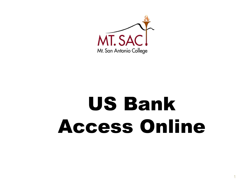

# US Bank Access Online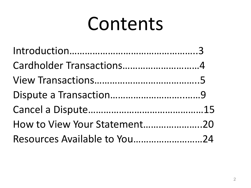# Contents

| Cardholder Transactions4     |  |
|------------------------------|--|
|                              |  |
|                              |  |
|                              |  |
| How to View Your Statement20 |  |
| Resources Available to You24 |  |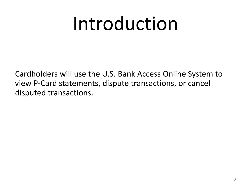# Introduction

Cardholders will use the U.S. Bank Access Online System to view P-Card statements, dispute transactions, or cancel disputed transactions.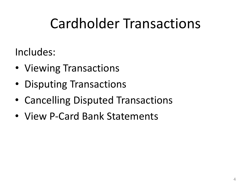## Cardholder Transactions

Includes:

- Viewing Transactions
- Disputing Transactions
- Cancelling Disputed Transactions
- View P-Card Bank Statements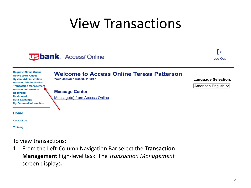## View Transactions





| <b>Request Status Queue</b><br><b>Active Work Queue</b><br><b>System Administration</b><br><b>Account Administration</b> | <b>Welcome to Access Online Teresa Patterson</b><br>Your last login was 05/11/2017 | <b>Language Selection:</b> |
|--------------------------------------------------------------------------------------------------------------------------|------------------------------------------------------------------------------------|----------------------------|
| <b>Transaction Management</b><br><b>Account Information</b><br>Reporting<br><b>Dashboard</b><br>Data Exchange            | <b>Message Center</b><br>Message(s) from Access Online                             | American English $\vee$    |
| <b>My Personal Information</b><br>Home                                                                                   |                                                                                    |                            |
| <b>Contact Us</b>                                                                                                        |                                                                                    |                            |
| <b>Training</b>                                                                                                          |                                                                                    |                            |

To view transactions:

1. From the Left-Column Navigation Bar select the **Transaction Management** high-level task. The *Transaction Management* screen displays*.*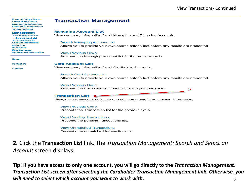| <b>Request Status Queue</b><br><b>Active Work Queue</b><br><b>System Administration</b><br><b>Account Administration</b> | <b>Transaction Management</b>                                                                                             |
|--------------------------------------------------------------------------------------------------------------------------|---------------------------------------------------------------------------------------------------------------------------|
| <b>Transaction</b>                                                                                                       | <b>Managing Account List</b>                                                                                              |
| <b>Management</b><br>• Managing Acct List<br><b>• Card Account List</b>                                                  | View summary information for all Managing and Diversion Accounts.                                                         |
| - Transaction List<br><b>Account Information</b>                                                                         | Search Managing Account List                                                                                              |
| <b>Reporting</b><br><b>Dashboard</b><br><b>Data Exchange</b>                                                             | Allows you to provide your own search criteria first before any results are presented.                                    |
| <b>My Personal Information</b>                                                                                           | <b>View Previous Cycle</b>                                                                                                |
| Home                                                                                                                     | Presents the Managing Account list for the previous cycle.                                                                |
| <b>Contact Us</b>                                                                                                        | <b>Card Account List</b>                                                                                                  |
| <b>Training</b>                                                                                                          | View summary information for all Cardholder Accounts.                                                                     |
|                                                                                                                          | <b>Search Card Account List</b><br>Allows you to provide your own search criteria first before any results are presented. |
|                                                                                                                          | <b>View Previous Cycle</b><br>Presents the Cardholder Account list for the previous cycle.                                |
|                                                                                                                          | <b>Transaction List</b><br>View, review, allocate/reallocate and add comments to transaction information.                 |

**View Previous Cycle** Presents the Transaction list for the previous cycle.

**View Pending Transactions** Presents the pending transactions list.

**View Unmatched Transactions** Presents the unmatched transactions list.

**2.** Click the **Transaction List** link. The *Transaction Management: Search and Select an Account* screen displays*.*

**Tip! If you have access to only one account, you will go directly to the** *Transaction Management: Transaction List screen after selecting the Cardholder Transaction Management link. Otherwise, you will need to select which account you want to work with.* 6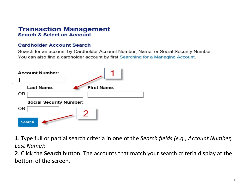## **Transaction Management Search & Select an Account**

## **Cardholder Account Search**

Search for an account by Cardholder Account Number, Name, or Social Security Number. You can also find a cardholder account by first Searching for a Managing Account.



**1**. Type full or partial search criteria in one of the *Search fields (e.g., Account Number, Last Name):* 

**2**. Click the **Search** button. The accounts that match your search criteria display at the bottom of the screen.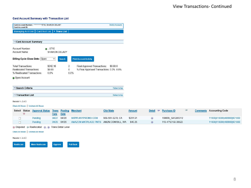#### **Card Account Summary with Transaction List**

| Card Account Number: ************5710, SHARON DELABY<br>Card Account ID: |                               |          | <b>Switch Accounts</b>                   |
|--------------------------------------------------------------------------|-------------------------------|----------|------------------------------------------|
| Managing Acct List   Card Acct List   > Trans List                       |                               |          |                                          |
|                                                                          |                               |          |                                          |
| [-] Card Account Summary                                                 |                               |          |                                          |
| Account Number:                                                          | $\odot$ 5710                  |          |                                          |
| Account Name:                                                            | <b>SHARON DELABY</b>          |          |                                          |
| Billing Cycle Close Date: Open                                           | $\checkmark$<br><b>Search</b> |          | <b>Print Account Activity</b>            |
| Total Transactions:                                                      | \$242.16                      | 2        | Final Approved Transactions:<br>\$0.000  |
| Reallocated Transactions:                                                | \$0.00                        | $\Omega$ | % Final Approved Transactions: 0.0% 0.0% |
| % Reallocated Transactions:                                              | 0.0%                          | 0.0%     |                                          |
| Open Account                                                             |                               |          |                                          |
| [+] Search Criteria                                                      |                               |          | Return to top                            |
| [-] Transaction List                                                     |                               |          | Return to top                            |

Records 1 - 2 of 2

#### Check All Shown | Uncheck All Shown

|  | Select Status Approval Status Trans Posting Merchant |       |             |                                                | <b>City/State</b> | <b>Amount</b> | Detail $\mathfrak{v}$ | <b>Purchase ID</b> |  | Comments Accounting Code   |
|--|------------------------------------------------------|-------|-------------|------------------------------------------------|-------------------|---------------|-----------------------|--------------------|--|----------------------------|
|  |                                                      | Date  | <b>Date</b> |                                                |                   |               |                       |                    |  |                            |
|  | Pendina                                              | 04/27 | 04/28       | WWW.ANYPROMO.COM                               | 909-591-5278. CA  | \$201.91      |                       | 168669 SA1285312   |  | 11000 410000 466666 601000 |
|  | Pendina                                              | 04/25 | 04/26       | AMAZON MKTPLACE PMTS AMZN.COM/BILL, WA \$40.25 |                   |               |                       | 113-4712159-30522  |  | 11000 410000 466666 601000 |

**O Disputed A Reallocated O, O Trans Detail Level** 

**Mass Reallocate** 

Check All Shown | Uncheck All Shown

Records 1 - 2 of 2

Reallocate

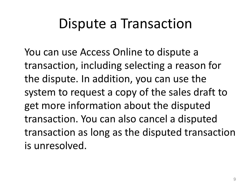## Dispute a Transaction

You can use Access Online to dispute a transaction, including selecting a reason for the dispute. In addition, you can use the system to request a copy of the sales draft to get more information about the disputed transaction. You can also cancel a disputed transaction as long as the disputed transaction is unresolved.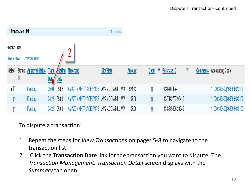|                    | [-] Transaction List |                                     |                           |         |                                        | Return to top |         |                    |                   |               |          |                            |
|--------------------|----------------------|-------------------------------------|---------------------------|---------|----------------------------------------|---------------|---------|--------------------|-------------------|---------------|----------|----------------------------|
| Records 1 - 9 of 9 |                      | Check All Shown   Uncheck All Shown |                           |         | n                                      |               |         |                    |                   |               |          |                            |
|                    | 0                    | Select Status Approval Status       | <b>Trans</b><br>Date Date | Posting | <b>Merchant</b>                        | City/State    | Amount  | <b>Detail</b><br>U | Purchase ID       | $\circledast$ | Comments | <b>Accounting Code</b>     |
| ∏∢                 |                      | Pending                             | 05/01                     | 05/02   | AMAZON MKTPLACE PMTS AMZN.COM/BILL, WA |               | \$21.43 | 0                  | PCARD DLee        |               |          | 11000 313500 466666 040100 |
|                    |                      | Pending                             | 04/28                     | 05/01   | AMAZON MKTPLACE PMTS AMZN.COM/BILL, WA |               | \$7.00  | 0                  | 113-7442767-99410 |               |          | 11000 313500 466666 040100 |
|                    |                      | Pending                             | 04/28                     | 05/01   | AMAZON MKTPLACE PMTS AMZN.COM/BILL, WA |               | \$7.00  | 0                  | 113-8545666-24642 |               |          | 11000 313500 466666 040100 |

To dispute a transaction:

- 1. Repeat the steps for *View Transactions* on pages 5-8 to navigate to the transaction list.
- 2. Click the **Transaction Date** link for the transaction you want to dispute. The *Transaction Management: Transaction Detail* screen displays with the *Summary* tab open.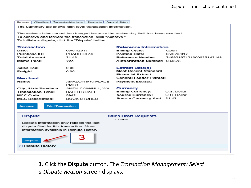Summary Allocations Transaction Line Items Comments Approval History The Summary tab shows high-level transaction information. The review status cannot be changed because the review day limit has been reached. To approve and forward the transaction, click "Approve." To initiate a dispute, click the "Dispute" button. **Transaction Reference Information** Date: 05/01/2017 **Billing Cycle:** Open 05/02/2017 **Purchase ID:** PCARD DLee **Posting Date: Total Amount:** 21.43 **Reference Number:** 24692167121000825142148 **Memo Post:** Yes Authorization Number: 083525 Sales Tax:  $0.00$ **Extract Date(s) Most Recent Standard** Freight:  $0.00$ **Financial Extract: Merchant General Ledger Extract:** Name: AMAZON MKTPLACE **Payment Extract: PMTS** City, State/Province: AMZN.COM/BILL, WA Currency **Billing Currency:** U.S. Dollar **Transaction Type: SALES DRAFT Source Currency:** U.S. Dollar **MCC Code:** 5942 Source Currency Amt: 21.43 **MCC Description: BOOK STORES Approve Print Transaction Dispute Sales Draft Requests** · none Dispute information only reflects the last dispute filed for this transaction. More information available in Dispute History. **Dispute** (+) Dispute History

> **3.** Click the **Dispute** button. The *Transaction Management: Select a Dispute Reason* screen displays*.*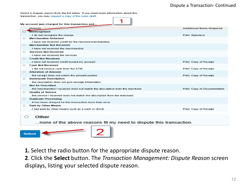## Dispute a Transaction- Continued

Select a dispute reason from the list below. If you need more information about this transaction, you may request a copy of the sales draft.



|         | My account was charged for this transaction and                              |                                  |
|---------|------------------------------------------------------------------------------|----------------------------------|
|         | <b>Reason</b>                                                                | <b>Additional Items Required</b> |
|         | Unrecognized                                                                 |                                  |
|         | I do not recognize the charge.                                               | Print, Signature                 |
| O       | <b>Merchandise Returned</b>                                                  |                                  |
|         | I have not received credit for the returned merchandise.                     |                                  |
| $\circ$ | <b>Merchandise Not Received</b>                                              |                                  |
|         | I have not received the merchandise.                                         |                                  |
| $\circ$ | <b>Services Not Received</b>                                                 |                                  |
|         | I have not received the services.                                            |                                  |
| $\circ$ | <b>Credit Not Received</b>                                                   |                                  |
|         | I have not received credit toward my account.                                | Print, Copy of Receipt           |
| o       | <b>Cash Not Received</b>                                                     |                                  |
|         | I did not receive cash from the ATM.                                         | Print, Copy of Receipt           |
| $\circ$ | <b>Alteration of Amount</b>                                                  |                                  |
|         | the receipt does not match the amount posted.                                | Print, Copy of Receipt           |
| $\circ$ | <b>Inadequate Description</b>                                                |                                  |
|         | the description does not give enough information.                            |                                  |
| $\circ$ | <b>Not As Described</b>                                                      |                                  |
|         | the merchandise I received does not match the description from the merchant. | Print, Copy of Documentation     |
| $\circ$ | <b>Quality of Service</b>                                                    |                                  |
|         | the service I received does not match the description from the merchant.     |                                  |
| $\circ$ | <b>Duplicate Processing</b>                                                  |                                  |
|         | it has been charged for this transaction more than once.                     |                                  |
| $\circ$ | Paid by Other Means                                                          |                                  |
|         | I had paid by other means such as a cash or check.                           | Print, Copy of Receipt           |
|         |                                                                              |                                  |
|         | Other                                                                        |                                  |

... none of the above reasons fit my need to dispute this transaction.



**1.** Select the radio button for the appropriate dispute reason.

**2**. Click the **Select** button. The *Transaction Management: Dispute Reason* screen displays, listing your selected dispute reason.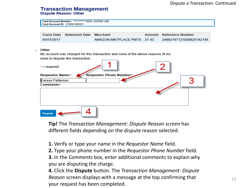### **Transaction Management Dispute Reason: Other**

Card Account Number: \*\*\*\*\*\*\*\*\*\*\*\*3539, DONNA LEE Card Account ID: 215091000251

|            | Trans Date Statement Date Merchant |                            | Amount Reference Number |
|------------|------------------------------------|----------------------------|-------------------------|
| 05/01/2017 |                                    | AMAZON MKTPLACE PMTS 21.43 | 24692167121000825142148 |

#### Other

My account was charged for this transaction and none of the above reasons fit my need to dispute this transaction.

| $*$ = required          |                          |  |
|-------------------------|--------------------------|--|
| Requestor Name:*        | Requestor Phone Number:* |  |
| <b>Teresa Patterson</b> |                          |  |
| Comments:*              |                          |  |
|                         |                          |  |
| <b>Dispute</b>          |                          |  |

**Tip!** The *Transaction Management: Dispute Reason screen* has different fields depending on the dispute reason selected.

**1.** Verify or type your name in the *Requestor Name* field.

**2.** Type your phone number in the *Requestor Phone Number* field.

**3.** In the *Comments* box, enter additional comments to explain why you are disputing the charge.

**4.** Click the **Dispute** button. The *Transaction Management: Dispute Reason* screen displays with a message at the top confirming that your request has been completed.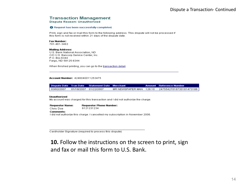### **Transaction Management**

**Dispute Reason: Unauthorized** 

#### **O** Request has been successfully completed.

Print, sign and fax or mail this form to the following address. This dispute will not be processed if this form is not received within 21 days of the dispute date.

#### **Fax Number:**

701-461-3463

#### **Mailing Address:**

U.S. Bank National Association, ND C/O U.S. Bancorp Service Center, Inc. P.O. Box 6344 Fargo, ND 58125-6344

When finished printing, you can go to the transaction detail.

#### Account Number: 4246040011253475

**Dispute Date Tran Date Statement Date Merchant Amount Reference Number** 03/02/2007 01/18/2007 01/22/2007 24755427018730181473186 MR NEWSPAPER MAN 128.10

#### **Unauthorized**

My account was charged for this transaction and I did not authorize the charge.

| <b>Requestor Name:</b> | <b>Requestor Phone Number:</b>                                                 |
|------------------------|--------------------------------------------------------------------------------|
| Chris Doe              | 6121231234                                                                     |
| Comments:              |                                                                                |
|                        | I did not authorize this charge. I cancelled my subscription in November 2006. |

Cardholder Signature (required to process this dispute)

## 10. Follow the instructions on the screen to print, sign and fax or mail this form to U.S. Bank.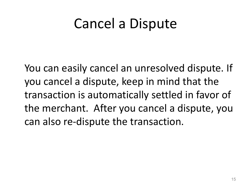## Cancel a Dispute

You can easily cancel an unresolved dispute. If you cancel a dispute, keep in mind that the transaction is automatically settled in favor of the merchant. After you cancel a dispute, you can also re-dispute the transaction.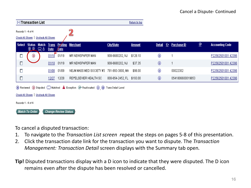|                    | [-] Transaction List                                                                                                         |                                     |                             |                             |                          |                           | Return to top |               |   |                    |                |                        |
|--------------------|------------------------------------------------------------------------------------------------------------------------------|-------------------------------------|-----------------------------|-----------------------------|--------------------------|---------------------------|---------------|---------------|---|--------------------|----------------|------------------------|
| Records 1 - 4 of 4 |                                                                                                                              | Check All Shown   Uncheck All Shown |                             |                             |                          |                           |               |               |   |                    |                |                        |
|                    | Select Status                                                                                                                | <b>Match</b><br><u>ஒற ∞ த</u>       | <b>Trans</b><br><b>Date</b> | <b>Date</b>                 | <b>Posting Merchant</b>  | <b>City/State</b>         | <b>Amount</b> | <b>Detail</b> | E | <b>Purchase ID</b> | $^{\circledR}$ | <b>Accounting Code</b> |
| П                  | ◉                                                                                                                            |                                     | $01/18$ 01/19               |                             | MR NEWSPAPER MAN         | 908-6680202, NJ           | \$128.10      | ⊕             |   |                    |                | P22562501001 42396     |
| $\Box$             |                                                                                                                              |                                     |                             | 01/18 01/19                 | MR NEWSPAPER MAN         | 908-6680202, NJ           | \$37.35       | ⊕             |   | 1                  |                | P22562501001 42396     |
| Π                  |                                                                                                                              |                                     | 01/08                       | 01/09                       | NEJM MASS MED SOCIETY #3 | 781-893-3800, MA          | \$98.00       | ⊕             |   | 00022302           |                | P22562501001 42396     |
| Д                  |                                                                                                                              |                                     |                             | 12/27 12/28                 | REI*ELSEVIER HEALTH SC   | 800-654-2452, FL \$193.00 |               | ⊕             |   | 0541806600019653   |                | P22562501001 42396     |
|                    | R Reviewed 1 D Disputed C Matched A Exception A Reallocated 1 (11) Trans Detail Level<br>Check All Shown   Uncheck All Shown |                                     |                             |                             |                          |                           |               |               |   |                    |                |                        |
|                    | Records 1 - 4 of 4                                                                                                           |                                     |                             |                             |                          |                           |               |               |   |                    |                |                        |
|                    | Match To Order                                                                                                               |                                     |                             | <b>Change Review Status</b> |                          |                           |               |               |   |                    |                |                        |

To cancel a disputed transaction:

- 1. To navigate to the *Transaction List screen r*epeat the steps on pages 5-8 of this presentation.
- 2. Click the transaction date link for the transaction you want to dispute. The *Transaction Management: Transaction Detail* screen displays with the Summary tab open*.*
- **Tip!** Disputed transactions display with a D icon to indicate that they were disputed. The D icon remains even after the dispute has been resolved or cancelled.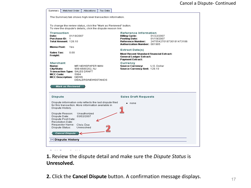| Matched Order<br>Summary<br><b>Allocations</b>                                                                                                                                                                 | Tax Data |                                                                                                                                           |                                                     |
|----------------------------------------------------------------------------------------------------------------------------------------------------------------------------------------------------------------|----------|-------------------------------------------------------------------------------------------------------------------------------------------|-----------------------------------------------------|
| The Summary tab shows high-level transaction information.                                                                                                                                                      |          |                                                                                                                                           |                                                     |
|                                                                                                                                                                                                                |          |                                                                                                                                           |                                                     |
| To change the review status, click the "Mark as Reviewed" button.<br>To view the dispute's details, click the dispute reason link.                                                                             |          |                                                                                                                                           |                                                     |
| <b>Transaction</b><br>Date:<br>01/18/2007<br><b>Purchase ID: 1</b><br>Total Amount: 128.10                                                                                                                     |          | <b>Reference Information</b><br><b>Billing Cycle:</b><br><b>Posting Date:</b><br>Reference Number:<br><b>Authorization Number: 081985</b> | 01/22/2007<br>01/19/2007<br>24755427018730181473186 |
| <b>Memo Post:</b><br>Yes                                                                                                                                                                                       |          | <b>Extract Date(s)</b>                                                                                                                    |                                                     |
| Sales Tax:<br>0.00<br>Freight:                                                                                                                                                                                 |          | <b>Most Recent Standard Financial Extract:</b><br><b>General Ledger Extract:</b><br><b>Payment Extract:</b>                               |                                                     |
| Merchant<br>Name:<br>MR NEWSPAPER MAN<br>City/State:<br>908-6680202, NJ<br>Transaction Type: SALES DRAFT<br><b>MCC Code:</b><br>5994<br>MCC Description: NEWS<br>DEALERS/NEWSSTANDS<br><b>Mark as Reviewed</b> |          | Currency<br><b>Source Currency:</b><br>Source Currency Amt: 128.10                                                                        | U.S. Dollar                                         |
| <b>Dispute</b>                                                                                                                                                                                                 |          | <b>Sales Draft Requests</b>                                                                                                               |                                                     |
| Dispute information only reflects the last dispute filed                                                                                                                                                       |          | $\bullet$ none                                                                                                                            |                                                     |
| for this transaction. More information available in<br>Dispute History.                                                                                                                                        |          |                                                                                                                                           |                                                     |
| Dispute Reason:<br>Unauthorized<br>Dispute Date:<br>03/02/2007<br>Dispute Post Date:<br><b>Resolution Date:</b><br>Requestor Name: Chris Doe<br>Dispute Status:<br>Unresolved                                  |          |                                                                                                                                           |                                                     |
| Cancel Dispute                                                                                                                                                                                                 |          |                                                                                                                                           |                                                     |
| [+] Dispute History                                                                                                                                                                                            |          |                                                                                                                                           |                                                     |
|                                                                                                                                                                                                                |          |                                                                                                                                           |                                                     |

## **1.** Review the dispute detail and make sure the *Dispute Status* is **Unresolved.**

**2.** Click the **Cancel Dispute** button. A confirmation message displays.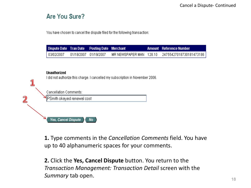## Are You Sure?

You have chosen to cancel the dispute filed for the following transaction:

| <b>Dispute Date Tran Date Posting Date Merchant</b> |                       |  | <b>Amount</b> Reference Number |
|-----------------------------------------------------|-----------------------|--|--------------------------------|
| 03/02/2007                                          | 01/18/2007 01/19/2007 |  |                                |

### **Unauthorized**

I did not authorize this charge. I cancelled my subscription in November 2006.

Cancellation Comments:

PSmith okayed renewal cost

**Yes, Cancel Dispute No** 

**1.** Type comments in the *Cancellation Comments* field. You have up to 40 alphanumeric spaces for your comments.

**2.** Click the **Yes, Cancel Dispute** button. You return to the *Transaction Management: Transaction Detail* screen with the *Summary* tab open. 1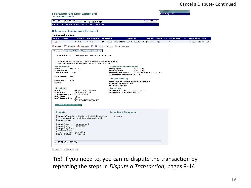### Cancel a Dispute- Continued

#### **Transaction Management**  $\star$  Log Out **Transaction Detail** Product: Purchasing Card<br>Card Account Number: \*\*\*\*\*\*\*\*\*\*\*\* 1234, CHRIS DOE Switch Products Switch Accounts Create Order Manage Orders | Card Acct List | Trans List Request has been successfully completed. **Transaction Summary Status Match Tran Date Posting Date Merchant City/State Detail E** Purchase ID **A** Accounting Code **Amount** 01/18 MR NEWSPAPER MAN 908-6680202, NJ \$128.10 P22562501001 42396  $\circledcirc$  $01/19$ (ii)  $\mathbf{1}$ **D** Disputed CO Matched  $\hat{\mathbf{A}}$  Exception  $\hat{\mathbf{w}}$ ,  $\hat{\mathbf{w}}$  Trans Detail Level  $\hat{\mathbf{A}}$  Reallocated Summary Matched Order Allocations Tax Data The Summary tab shows high-level transaction information. To change the review status, click the "Mark as Reviewed" button. To view the dispute's details, click the dispute reason link. **Transaction Reference Information** 01/18/2007 Date: **Billing Cycle:** 01/22/2007 Purchase ID: 1 **Posting Date:** 01/19/2007 Total Amount: 128.10 **Reference Number:** 24755427018730181473186 Authorization Number: 081985 Memo Post: Yes **Extract Date(s)** Sales Tax: in nn **Most Recent Standard Financial Extract:** Freight: **General Ledger Extract: Payment Extract:** Merchant Currency Name: MR NEWSPAPER MAN **Source Currency:** U.S. Dollar City/State: 908-6680202, NJ Source Currency Amt: 128.10 Transaction Type: SALES DRAFT **MCC Code:** 5994 MCC Description: NEWS **DEALERS/NEWSSTANDS Mark as Reviewed Dispute Sales Draft Requests** Dispute information only reflects the last dispute filed  $\bullet$  none

<< Back to Transaction List

[+] Dispute History

Dispute History.

Dispute Date:

Dispute Status:

Dispute Post Date: Resolution Date: Requestor Name:

for this transaction. More information available in

03/02/2007

Chris Doe

Unresolved

Dispute Reason: Unauthorized

**Tip!** If you need to, you can re-dispute the transaction by repeating the steps in *Dispute a Transaction*, pages 9-14.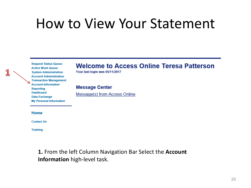## How to View Your Statement

**Request Status Queue Active Work Queue System Administration Account Administration Transaction Management Account Information Reporting Dashboard Data Exchange My Personal Information** 

## **Welcome to Access Online Teresa Patterson**

Your last login was 05/11/2017

**Message Center** 

Message(s) from Access Online

Home

**Contact Us** 

**Training** 

**1.** From the left Column Navigation Bar Select the **Account Information** high-level task.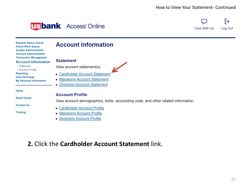## How to View Your Statement- Continued

## **USbank** Access<sup>®</sup> Online



**Request Status Queue Active Work Queue System Administration Account Administration Transaction Management Account Information** • Statement • Account Profile Reporting

Data Exchange **My Personal Information** 

Home

**Email Center** 

**Contact Us** 

**Training** 

## **Account Information**

### **Statement**

View account statement(s).

- Cardholder Account Statement
- Managing Account Statement
- **Diversion Account Statement**

### **Account Profile**

View account demographics, limits, accounting code, and other related information.

- Cardholder Account Profile
- Managing Account Profile
- **Diversion Account Profile**

## 2. Click the Cardholder Account Statement link.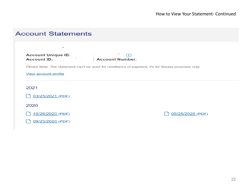## **Account Statements**



Please Note: The statement can't be used for remittance of payment, it's for display purposes only.

#### **View account profile**

#### 2021

03/25/2021 (PDF)

2020

10/26/2020 (PDF)

05/25/2020 (PDF)

09/25/2020 (PDF)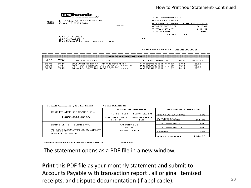

聯繫

U.S BANCORP SERVICE CENTER<br>P. O. Box 6343<br>Fargo, ND 68126-8343

SANDRA WEIR<br>2222 S 7TH ST<br>EP-MN-TT2C<br>MINNEAPOLIS MN 55454-1305

6368X32

| A CME CORPORATION |                  |
|-------------------|------------------|
| MEMO STATEMENT    |                  |
| A CCOUNT NUMBER   | 4716123412342234 |
| STATEMENT DATE    | 03-26-07         |
| TOTAL ACTIVITY    | \$144.00         |
| A MOUNT DUE       | \$0.00           |
| DO NOT REMIT      |                  |

107

#### 4716123412342234 000000000

|                                  | <b>NEW ACCOUNT ACTIVITY</b>            |                                                                                                                                                 |                                                                                                          |                               |                                  |  |  |  |
|----------------------------------|----------------------------------------|-------------------------------------------------------------------------------------------------------------------------------------------------|----------------------------------------------------------------------------------------------------------|-------------------------------|----------------------------------|--|--|--|
| POS <sub>1</sub><br><b>DATE</b>  | <b>TRAN</b><br>DA TE                   | TRANSACTION DESCRIPTION                                                                                                                         | REFERENCE NUMBER                                                                                         | MCC                           | <b>AMOUNT</b>                    |  |  |  |
| 03-19<br>03-19<br>03-26<br>03-26 | $03-17$<br>$03-17$<br>$03-15$<br>03-19 | LIAT JOHNSONS PRINTING BOSTON MA<br>LIATOFFICE FURNITURE TO GO ST LOUIS MO<br>JOHNSONS PRINTING BOSTON MA<br>OFFICE FURNITURE TO GO ST LOUIS MO | 74798267078019111111178<br>74798267078019111111186<br>74798267085019111111179<br>74798267085019111111187 | 2741<br>5021<br>2.741<br>5021 | 27.00<br>45.00<br>27.00<br>45.00 |  |  |  |

| Default Accounting Code: 55555<br>10.2300NLLJ27.43                                                                  |                                      |                        |                         |          |  |  |
|---------------------------------------------------------------------------------------------------------------------|--------------------------------------|------------------------|-------------------------|----------|--|--|
|                                                                                                                     | ACCOUNT NUMBER                       |                        | <b>ACCOUNT SUMMARY</b>  |          |  |  |
| CUSTOMER SERVICE CALL                                                                                               |                                      | 4716-1234-1234-2234    | <b>PREVIOUS BALANCE</b> | \$.00    |  |  |
| 1-800-344-5696                                                                                                      | <b>STATEMENT DATE</b>                | <b>DISPUTED AMOUNT</b> | PURCHASES &             |          |  |  |
|                                                                                                                     | $03 - 26 - 07$                       | 30.30                  | OTHER CHARGES           | \$144.00 |  |  |
| SEND BILLING INQUIRIES TO:                                                                                          | AMOUNT DUE<br>\$0.00<br>DO NOT REMIT |                        | <b>CASH ADVANCES</b>    | \$.00    |  |  |
|                                                                                                                     |                                      |                        | ICASH ADVANCE FEE       | \$.00    |  |  |
| C/O U.S. BANCORP SERVICE CENTER. INC.<br>U.S. BANK NATIONAL ASSOCIATION ND<br>P.O. BOX 6344<br>FARGO, ND 58125-6344 |                                      |                        | <b>CREDITS</b>          | \$.00    |  |  |
|                                                                                                                     |                                      |                        | <b>ITOTAL ACTIVITY</b>  | \$144.00 |  |  |

COPY RIGHT 2005 U.S. BANK NATIONAL ASSOCIATION ND

PAGE 1 OF 1

The statement opens as a PDF file in a new window.

**Print** this PDF file as your monthly statement and submit to Accounts Payable with transaction report , all original itemized receipts, and dispute documentation (if applicable).